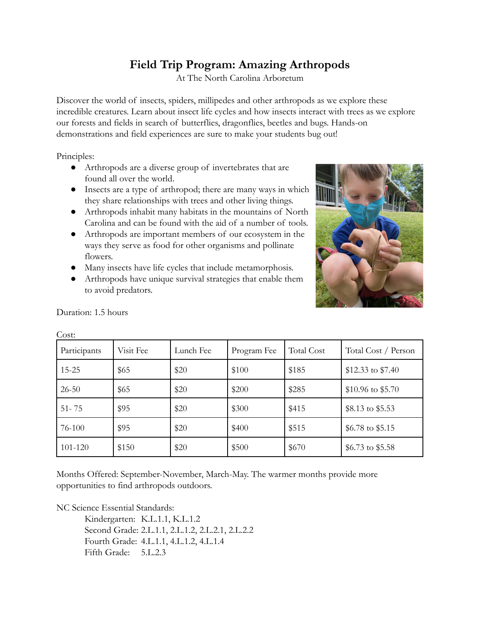## **Field Trip Program: Amazing Arthropods**

At The North Carolina Arboretum

Discover the world of insects, spiders, millipedes and other arthropods as we explore these incredible creatures. Learn about insect life cycles and how insects interact with trees as we explore our forests and fields in search of butterflies, dragonflies, beetles and bugs. Hands-on demonstrations and field experiences are sure to make your students bug out!

Principles:

- Arthropods are a diverse group of invertebrates that are found all over the world.
- Insects are a type of arthropod; there are many ways in which they share relationships with trees and other living things.
- Arthropods inhabit many habitats in the mountains of North Carolina and can be found with the aid of a number of tools.
- Arthropods are important members of our ecosystem in the ways they serve as food for other organisms and pollinate flowers.
- Many insects have life cycles that include metamorphosis.
- Arthropods have unique survival strategies that enable them to avoid predators.



| Participants | Visit Fee | Lunch Fee | Program Fee | <b>Total Cost</b> | Total Cost / Person |
|--------------|-----------|-----------|-------------|-------------------|---------------------|
| $15 - 25$    | \$65      | \$20      | \$100       | \$185             | \$12.33 to \$7.40   |
| $26 - 50$    | \$65      | \$20      | \$200       | \$285             | \$10.96 to \$5.70   |
| $51 - 75$    | \$95      | \$20      | \$300       | \$415             | \$8.13 to \$5.53    |
| 76-100       | \$95      | \$20      | \$400       | \$515             | \$6.78 to \$5.15    |
| 101-120      | \$150     | \$20      | \$500       | \$670             | \$6.73 to \$5.58    |

Duration: 1.5 hours

Cost:

Months Offered: September-November, March-May. The warmer months provide more opportunities to find arthropods outdoors.

NC Science Essential Standards:

Kindergarten: K.L.1.1, K.L.1.2 Second Grade: 2.L.1.1, 2.L.1.2, 2.L.2.1, 2.L.2.2 Fourth Grade: 4.L.1.1, 4.L.1.2, 4.L.1.4 Fifth Grade: 5.L.2.3